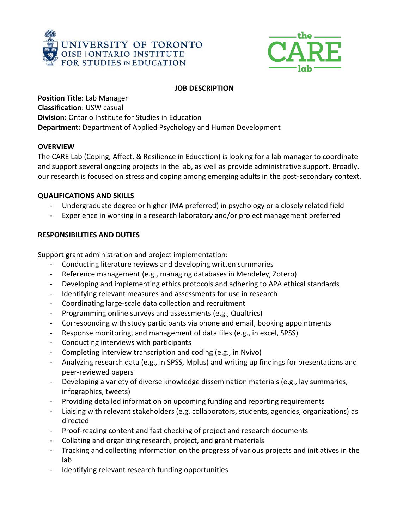



# **JOB DESCRIPTION**

**Position Title**: Lab Manager **Classification**: USW casual **Division:** Ontario Institute for Studies in Education **Department:** Department of Applied Psychology and Human Development

## **OVERVIEW**

The CARE Lab (Coping, Affect, & Resilience in Education) is looking for a lab manager to coordinate and support several ongoing projects in the lab, as well as provide administrative support. Broadly, our research is focused on stress and coping among emerging adults in the post-secondary context.

## **QUALIFICATIONS AND SKILLS**

- Undergraduate degree or higher (MA preferred) in psychology or a closely related field
- Experience in working in a research laboratory and/or project management preferred

# **RESPONSIBILITIES AND DUTIES**

Support grant administration and project implementation:

- Conducting literature reviews and developing written summaries
- Reference management (e.g., managing databases in Mendeley, Zotero)
- Developing and implementing ethics protocols and adhering to APA ethical standards
- Identifying relevant measures and assessments for use in research
- Coordinating large-scale data collection and recruitment
- Programming online surveys and assessments (e.g., Qualtrics)
- Corresponding with study participants via phone and email, booking appointments
- Response monitoring, and management of data files (e.g., in excel, SPSS)
- Conducting interviews with participants
- Completing interview transcription and coding (e.g., in Nvivo)
- Analyzing research data (e.g., in SPSS, Mplus) and writing up findings for presentations and peer-reviewed papers
- Developing a variety of diverse knowledge dissemination materials (e.g., lay summaries, infographics, tweets)
- Providing detailed information on upcoming funding and reporting requirements
- Liaising with relevant stakeholders (e.g. collaborators, students, agencies, organizations) as directed
- Proof-reading content and fast checking of project and research documents
- Collating and organizing research, project, and grant materials
- Tracking and collecting information on the progress of various projects and initiatives in the lab
- Identifying relevant research funding opportunities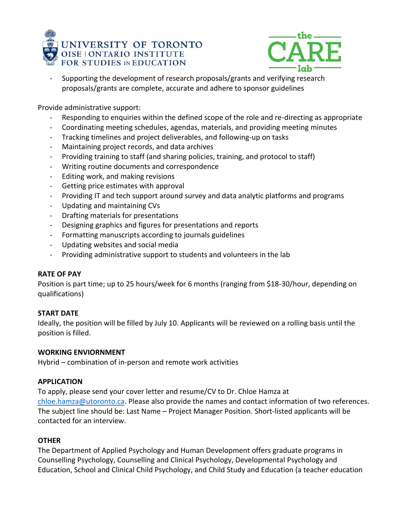



- Supporting the development of research proposals/grants and verifying research proposals/grants are complete, accurate and adhere to sponsor guidelines

Provide administrative support:

- Responding to enquiries within the defined scope of the role and re-directing as appropriate
- Coordinating meeting schedules, agendas, materials, and providing meeting minutes
- Tracking timelines and project deliverables, and following-up on tasks
- Maintaining project records, and data archives
- Providing training to staff (and sharing policies, training, and protocol to staff)
- Writing routine documents and correspondence
- Editing work, and making revisions
- Getting price estimates with approval
- Providing IT and tech support around survey and data analytic platforms and programs
- Updating and maintaining CVs
- Drafting materials for presentations
- Designing graphics and figures for presentations and reports
- Formatting manuscripts according to journals guidelines
- Updating websites and social media
- Providing administrative support to students and volunteers in the lab

## **RATE OF PAY**

Position is part time; up to 25 hours/week for 6 months (ranging from \$18-30/hour, depending on qualifications)

## **START DATE**

Ideally, the position will be filled by July 10. Applicants will be reviewed on a rolling basis until the position is filled.

## **WORKING ENVIORNMENT**

Hybrid – combination of in-person and remote work activities

## **APPLICATION**

To apply, please send your cover letter and resume/CV to Dr. Chloe Hamza at [chloe.hamza@utoronto.ca.](mailto:chloe.hamza@utoronto.ca) Please also provide the names and contact information of two references. The subject line should be: Last Name – Project Manager Position. Short-listed applicants will be contacted for an interview.

## **OTHER**

The Department of Applied Psychology and Human Development offers graduate programs in Counselling Psychology, Counselling and Clinical Psychology, Developmental Psychology and Education, School and Clinical Child Psychology, and Child Study and Education (a teacher education